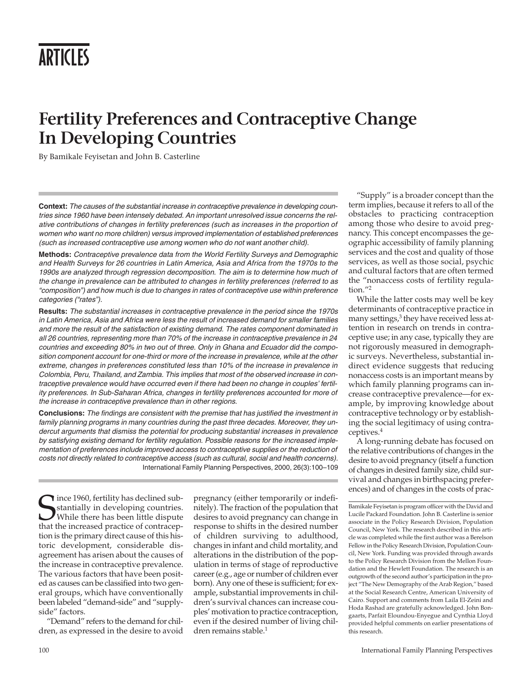# **Fertility Preferences and Contraceptive Change In Developing Countries**

By Bamikale Feyisetan and John B. Casterline

**Context:** The causes of the substantial increase in contraceptive prevalence in developing countries since 1960 have been intensely debated. An important unresolved issue concerns the relative contributions of changes in fertility preferences (such as increases in the proportion of women who want no more children) versus improved implementation of established preferences (such as increased contraceptive use among women who do not want another child).

**Methods:** Contraceptive prevalence data from the World Fertility Surveys and Demographic and Health Surveys for 26 countries in Latin America, Asia and Africa from the 1970s to the 1990s are analyzed through regression decomposition. The aim is to determine how much of the change in prevalence can be attributed to changes in fertility preferences (referred to as "composition") and how much is due to changes in rates of contraceptive use within preference categories ("rates").

**Results:** The substantial increases in contraceptive prevalence in the period since the 1970s in Latin America, Asia and Africa were less the result of increased demand for smaller families and more the result of the satisfaction of existing demand. The rates component dominated in all 26 countries, representing more than 70% of the increase in contraceptive prevalence in 24 countries and exceeding 80% in two out of three. Only in Ghana and Ecuador did the composition component account for one-third or more of the increase in prevalence, while at the other extreme, changes in preferences constituted less than 10% of the increase in prevalence in Colombia, Peru, Thailand, and Zambia. This implies that most of the observed increase in contraceptive prevalence would have occurred even if there had been no change in couples' fertility preferences. In Sub-Saharan Africa, changes in fertility preferences accounted for more of the increase in contraceptive prevalence than in other regions.

**Conclusions:** The findings are consistent with the premise that has justified the investment in family planning programs in many countries during the past three decades. Moreover, they undercut arguments that dismiss the potential for producing substantial increases in prevalence by satisfying existing demand for fertility regulation. Possible reasons for the increased implementation of preferences include improved access to contraceptive supplies or the reduction of costs not directly related to contraceptive access (such as cultural, social and health concerns). International Family Planning Perspectives, 2000, 26(3):100–109

Since 1960, fertility has declined substantially in developing countries.<br>While there has been little dispute that the increased practice of contracepince 1960, fertility has declined substantially in developing countries. While there has been little dispute tion is the primary direct cause of this historic development, considerable disagreement has arisen about the causes of the increase in contraceptive prevalence. The various factors that have been posited as causes can be classified into two general groups, which have conventionally been labeled "demand-side" and "supplyside" factors.

"Demand" refers to the demand for children, as expressed in the desire to avoid pregnancy (either temporarily or indefinitely). The fraction of the population that desires to avoid pregnancy can change in response to shifts in the desired number of children surviving to adulthood, changes in infant and child mortality, and alterations in the distribution of the population in terms of stage of reproductive career (e.g., age or number of children ever born). Any one of these is sufficient; for example, substantial improvements in children's survival chances can increase couples' motivation to practice contraception, even if the desired number of living children remains stable.<sup>1</sup>

"Supply" is a broader concept than the term implies, because it refers to all of the obstacles to practicing contraception among those who desire to avoid pregnancy. This concept encompasses the geographic accessibility of family planning services and the cost and quality of those services, as well as those social, psychic and cultural factors that are often termed the "nonaccess costs of fertility regulation."2

While the latter costs may well be key determinants of contraceptive practice in many settings,<sup>3</sup> they have received less attention in research on trends in contraceptive use; in any case, typically they are not rigorously measured in demographic surveys. Nevertheless, substantial indirect evidence suggests that reducing nonaccess costs is an important means by which family planning programs can increase contraceptive prevalence—for example, by improving knowledge about contraceptive technology or by establishing the social legitimacy of using contraceptives.4

A long-running debate has focused on the relative contributions of changes in the desire to avoid pregnancy (itself a function of changes in desired family size, child survival and changes in birthspacing preferences) and of changes in the costs of prac-

Bamikale Feyisetan is program officer with the David and Lucile Packard Foundation. John B. Casterline is senior associate in the Policy Research Division, Population Council, New York. The research described in this article was completed while the first author was a Berelson Fellow in the Policy Research Division, Population Council, New York. Funding was provided through awards to the Policy Research Division from the Mellon Foundation and the Hewlett Foundation. The research is an outgrowth of the second author's participation in the project "The New Demography of the Arab Region," based at the Social Research Centre, American University of Cairo. Support and comments from Laila El-Zeini and Hoda Rashad are gratefully acknowledged. John Bongaarts, Parfait Eloundou-Enyegue and Cynthia Lloyd provided helpful comments on earlier presentations of this research.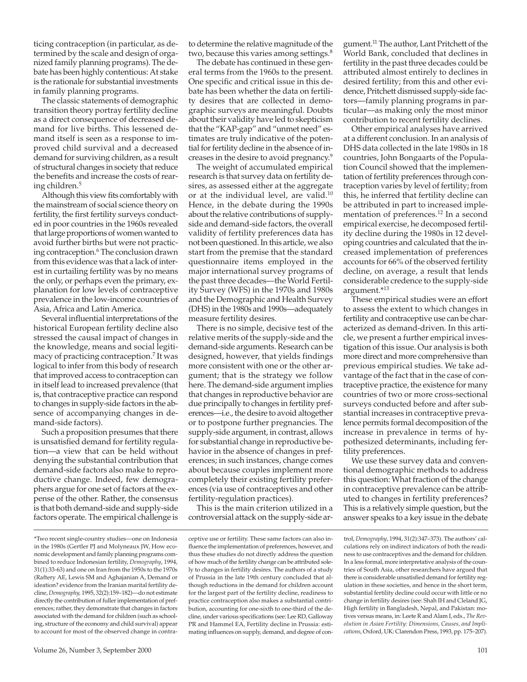ticing contraception (in particular, as determined by the scale and design of organized family planning programs). The debate has been highly contentious: At stake is the rationale for substantial investments in family planning programs.

The classic statements of demographic transition theory portray fertility decline as a direct consequence of decreased demand for live births. This lessened demand itself is seen as a response to improved child survival and a decreased demand for surviving children, as a result of structural changes in society that reduce the benefits and increase the costs of rearing children.5

Although this view fits comfortably with the mainstream of social science theory on fertility, the first fertility surveys conducted in poor countries in the 1960s revealed that large proportions of women wanted to avoid further births but were not practicing contraception.<sup>6</sup> The conclusion drawn from this evidence was that a lack of interest in curtailing fertility was by no means the only, or perhaps even the primary, explanation for low levels of contraceptive prevalence in the low-income countries of Asia, Africa and Latin America.

Several influential interpretations of the historical European fertility decline also stressed the causal impact of changes in the knowledge, means and social legitimacy of practicing contraception.7 It was logical to infer from this body of research that improved access to contraception can in itself lead to increased prevalence (that is, that contraceptive practice can respond to changes in supply-side factors in the absence of accompanying changes in demand-side factors).

Such a proposition presumes that there is unsatisfied demand for fertility regulation—a view that can be held without denying the substantial contribution that demand-side factors also make to reproductive change. Indeed, few demographers argue for one set of factors at the expense of the other. Rather, the consensus is that both demand-side and supply-side factors operate. The empirical challenge is

Volume 26, Number 3, September 2000 101 and the separate separate separate separate separate separate separate separate separate separate separate separate separate separate separate separate separate separate separate sep

to determine the relative magnitude of the two, because this varies among settings.<sup>8</sup>

The debate has continued in these general terms from the 1960s to the present. One specific and critical issue in this debate has been whether the data on fertility desires that are collected in demographic surveys are meaningful. Doubts about their validity have led to skepticism that the "KAP-gap" and "unmet need" estimates are truly indicative of the potential for fertility decline in the absence of increases in the desire to avoid pregnancy.9

The weight of accumulated empirical research is that survey data on fertility desires, as assessed either at the aggregate or at the individual level, are valid.10 Hence, in the debate during the 1990s about the relative contributions of supplyside and demand-side factors, the overall validity of fertility preferences data has not been questioned. In this article, we also start from the premise that the standard questionnaire items employed in the major international survey programs of the past three decades—the World Fertility Survey (WFS) in the 1970s and 1980s and the Demographic and Health Survey (DHS) in the 1980s and 1990s—adequately measure fertility desires.

There is no simple, decisive test of the relative merits of the supply-side and the demand-side arguments. Research can be designed, however, that yields findings more consistent with one or the other argument; that is the strategy we follow here. The demand-side argument implies that changes in reproductive behavior are due principally to changes in fertility preferences—i.e., the desire to avoid altogether or to postpone further pregnancies. The supply-side argument, in contrast, allows for substantial change in reproductive behavior in the absence of changes in preferences; in such instances, change comes about because couples implement more completely their existing fertility preferences (via use of contraceptives and other fertility-regulation practices).

This is the main criterion utilized in a controversial attack on the supply-side ar-

ceptive use or fertility. These same factors can also influence the implementation of preferences, however, and thus these studies do not directly address the question of how much of the fertility change can be attributed solely to changes in fertility desires. The authors of a study of Prussia in the late 19th century concluded that although reductions in the demand for children account for the largest part of the fertility decline, readiness to practice contraception also makes a substantial contribution, accounting for one-sixth to one-third of the decline, under various specifications (see: Lee RD, Galloway PR and Hammel EA, Fertility decline in Prussia: estimating influences on supply, demand, and degree of con-

gument.11 The author, Lant Pritchett of the World Bank, concluded that declines in fertility in the past three decades could be attributed almost entirely to declines in desired fertility; from this and other evidence, Pritchett dismissed supply-side factors—family planning programs in particular—as making only the most minor contribution to recent fertility declines.

Other empirical analyses have arrived at a different conclusion. In an analysis of DHS data collected in the late 1980s in 18 countries, John Bongaarts of the Population Council showed that the implementation of fertility preferences through contraception varies by level of fertility; from this, he inferred that fertility decline can be attributed in part to increased implementation of preferences.12 In a second empirical exercise, he decomposed fertility decline during the 1980s in 12 developing countries and calculated that the increased implementation of preferences accounts for 66% of the observed fertility decline, on average, a result that lends considerable credence to the supply-side argument.\*13

These empirical studies were an effort to assess the extent to which changes in fertility and contraceptive use can be characterized as demand-driven. In this article, we present a further empirical investigation of this issue. Our analysis is both more direct and more comprehensive than previous empirical studies. We take advantage of the fact that in the case of contraceptive practice, the existence for many countries of two or more cross-sectional surveys conducted before and after substantial increases in contraceptive prevalence permits formal decomposition of the increase in prevalence in terms of hypothesized determinants, including fertility preferences.

We use these survey data and conventional demographic methods to address this question: What fraction of the change in contraceptive prevalence can be attributed to changes in fertility preferences? This is a relatively simple question, but the answer speaks to a key issue in the debate

<sup>\*</sup>Two recent single-country studies—one on Indonesia in the 1980s (Gertler PJ and Molyneaux JW, How economic development and family planning programs combined to reduce Indonesian fertility, *Demography*, 1994, 31(1):33-63) and one on Iran from the 1950s to the 1970s (Raftery AE, Lewis SM and Aghajanian A, Demand or ideation? evidence from the Iranian marital fertility decline, *Demography,* 1995, 32(2):159–182)—do not estimate directly the contribution of fuller implementation of preferences; rather, they demonstrate that changes in factors associated with the demand for children (such as schooling, structure of the economy and child survival) appear to account for most of the observed change in contra-

trol, *Demography*, 1994, 31(2):347–373). The authors' calculations rely on indirect indicators of both the readiness to use contraceptives and the demand for children. In a less formal, more interpretative analysis of the countries of South Asia, other researchers have argued that there is considerable unsatisfied demand for fertility regulation in these societies, and hence in the short term, substantial fertility decline could occur with little or no change in fertility desires (see: Shah IH and Cleland JG, High fertility in Bangladesh, Nepal, and Pakistan: motives versus means, in: Leete R and Alam I, eds., *The Revolution in Asian Fertility: Dimensions, Causes, and Implications*, Oxford, UK: Clarendon Press, 1993, pp. 175–207).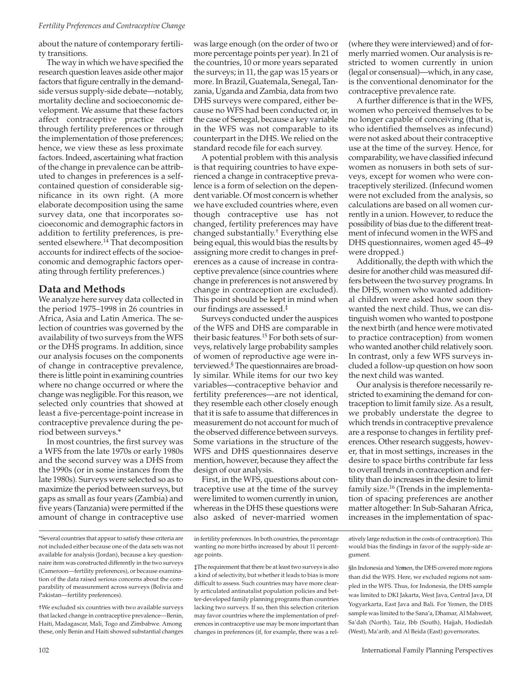about the nature of contemporary fertility transitions.

The way in which we have specified the research question leaves aside other major factors that figure centrally in the demandside versus supply-side debate—notably, mortality decline and socioeconomic development. We assume that these factors affect contraceptive practice either through fertility preferences or through the implementation of those preferences; hence, we view these as less proximate factors. Indeed, ascertaining what fraction of the change in prevalence can be attributed to changes in preferences is a selfcontained question of considerable significance in its own right. (A more elaborate decomposition using the same survey data, one that incorporates socioeconomic and demographic factors in addition to fertility preferences, is presented elsewhere.<sup>14</sup> That decomposition accounts for indirect effects of the socioeconomic and demographic factors operating through fertility preferences.)

## **Data and Methods**

We analyze here survey data collected in the period 1975–1998 in 26 countries in Africa, Asia and Latin America. The selection of countries was governed by the availability of two surveys from the WFS or the DHS programs. In addition, since our analysis focuses on the components of change in contraceptive prevalence, there is little point in examining countries where no change occurred or where the change was negligible. For this reason, we selected only countries that showed at least a five-percentage-point increase in contraceptive prevalence during the period between surveys.\*

In most countries, the first survey was a WFS from the late 1970s or early 1980s and the second survey was a DHS from the 1990s (or in some instances from the late 1980s). Surveys were selected so as to maximize the period between surveys, but gaps as small as four years (Zambia) and five years (Tanzania) were permitted if the amount of change in contraceptive use

†We excluded six countries with two available surveys that lacked change in contraceptive prevalence—Benin, Haiti, Madagascar, Mali, Togo and Zimbabwe. Among these, only Benin and Haiti showed substantial changes was large enough (on the order of two or more percentage points per year). In 21 of the countries, 10 or more years separated the surveys; in 11, the gap was 15 years or more. In Brazil, Guatemala, Senegal, Tanzania, Uganda and Zambia, data from two DHS surveys were compared, either because no WFS had been conducted or, in the case of Senegal, because a key variable in the WFS was not comparable to its counterpart in the DHS. We relied on the standard recode file for each survey.

A potential problem with this analysis is that requiring countries to have experienced a change in contraceptive prevalence is a form of selection on the dependent variable. Of most concern is whether we have excluded countries where, even though contraceptive use has not changed, fertility preferences may have changed substantially.† Everything else being equal, this would bias the results by assigning more credit to changes in preferences as a cause of increase in contraceptive prevalence (since countries where change in preferences is not answered by change in contraception are excluded). This point should be kept in mind when our findings are assessed.‡

Surveys conducted under the auspices of the WFS and DHS are comparable in their basic features.15 For both sets of surveys, relatively large probability samples of women of reproductive age were interviewed.§ The questionnaires are broadly similar. While items for our two key variables—contraceptive behavior and fertility preferences—are not identical, they resemble each other closely enough that it is safe to assume that differences in measurement do not account for much of the observed difference between surveys. Some variations in the structure of the WFS and DHS questionnaires deserve mention, however, because they affect the design of our analysis.

First, in the WFS, questions about contraceptive use at the time of the survey were limited to women currently in union, whereas in the DHS these questions were also asked of never-married women

in fertility preferences. In both countries, the percentage wanting no more births increased by about 11 percentage points.

‡The requirement that there be at least two surveys is also a kind of selectivity, but whether it leads to bias is more difficult to assess. Such countries may have more clearly articulated antinatalist population policies and better-developed family planning programs than countries lacking two surveys. If so, then this selection criterion may favor countries where the implementation of preferences in contraceptive use may be more important than changes in preferences (if, for example, there was a rel-

(where they were interviewed) and of formerly married women. Our analysis is restricted to women currently in union (legal or consensual)—which, in any case, is the conventional denominator for the contraceptive prevalence rate.

A further difference is that in the WFS, women who perceived themselves to be no longer capable of conceiving (that is, who identified themselves as infecund) were not asked about their contraceptive use at the time of the survey. Hence, for comparability, we have classified infecund women as nonusers in both sets of surveys, except for women who were contraceptively sterilized. (Infecund women were not excluded from the analysis, so calculations are based on all women currently in a union. However, to reduce the possibility of bias due to the different treatment of infecund women in the WFS and DHS questionnaires, women aged 45–49 were dropped.)

Additionally, the depth with which the desire for another child was measured differs between the two survey programs. In the DHS, women who wanted additional children were asked how soon they wanted the next child. Thus, we can distinguish women who wanted to postpone the next birth (and hence were motivated to practice contraception) from women who wanted another child relatively soon. In contrast, only a few WFS surveys included a follow-up question on how soon the next child was wanted.

Our analysis is therefore necessarily restricted to examining the demand for contraception to limit family size. As a result, we probably understate the degree to which trends in contraceptive prevalence are a response to changes in fertility preferences. Other research suggests, however, that in most settings, increases in the desire to space births contribute far less to overall trends in contraception and fertility than do increases in the desire to limit family size. $16$  (Trends in the implementation of spacing preferences are another matter altogether: In Sub-Saharan Africa, increases in the implementation of spac-

atively large reduction in the costs of contraception). This would bias the findings in favor of the supply-side argument.

§In Indonesia and Ye**m**en, the DHS covered more regions than did the WFS. Here, we excluded regions not sampled in the WFS. Thus, for Indonesia, the DHS sample was limited to DKI Jakarta, West Java, Central Java, DI Yogyarkarta, East Java and Bali. For Yemen, the DHS sample was limited to the Sana'a, Dhamar, Al Mahweet, Sa'dah (North), Taiz, Ibb (South), Hajjah, Hodiedah (West), Ma'arib, and Al Beida (East) governorates.

<sup>\*</sup>Several countries that appear to satisfy these criteria are not included either because one of the data sets was not available for analysis (Jordan), because a key questionnaire item was constructed differently in the two surveys (Cameroon—fertility preferences), or because examination of the data raised serious concerns about the comparability of measurement across surveys (Bolivia and Pakistan—fertility preferences).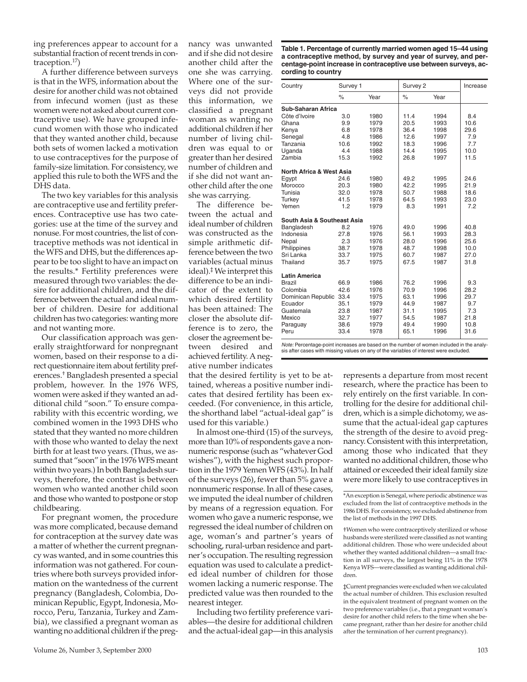ing preferences appear to account for a substantial fraction of recent trends in contraception. $17$ )

A further difference between surveys is that in the WFS, information about the desire for another child was not obtained from infecund women (just as these women were not asked about current contraceptive use). We have grouped infecund women with those who indicated that they wanted another child, because both sets of women lacked a motivation to use contraceptives for the purpose of family-size limitation. For consistency, we applied this rule to both the WFS and the DHS data.

The two key variables for this analysis are contraceptive use and fertility preferences. Contraceptive use has two categories: use at the time of the survey and nonuse. For most countries, the list of contraceptive methods was not identical in the WFS and DHS, but the differences appear to be too slight to have an impact on the results.\* Fertility preferences were measured through two variables: the desire for additional children, and the difference between the actual and ideal number of children. Desire for additional children has two categories: wanting more and not wanting more.

Our classification approach was generally straightforward for nonpregnant women, based on their response to a direct questionnaire item about fertility preferences.† Bangladesh presented a special problem, however. In the 1976 WFS, women were asked if they wanted an additional child "soon." To ensure comparability with this eccentric wording, we combined women in the 1993 DHS who stated that they wanted no more children with those who wanted to delay the next birth for at least two years. (Thus, we assumed that "soon" in the 1976 WFS meant within two years.) In both Bangladesh surveys, therefore, the contrast is between women who wanted another child soon and those who wanted to postpone or stop childbearing.

For pregnant women, the procedure was more complicated, because demand for contraception at the survey date was a matter of whether the current pregnancy was wanted, and in some countries this information was not gathered. For countries where both surveys provided information on the wantedness of the current pregnancy (Bangladesh, Colombia, Dominican Republic, Egypt, Indonesia, Morocco, Peru, Tanzania, Turkey and Zambia), we classified a pregnant woman as wanting no additional children if the pregnancy was unwanted and if she did not desire another child after the one she was carrying. Where one of the surveys did not provide this information, we classified a pregnant woman as wanting no additional children if her number of living children was equal to or greater than her desired number of children and if she did not want another child after the one she was carrying.

The difference between the actual and ideal number of children was constructed as the simple arithmetic difference between the two variables (actual minus ideal).‡ We interpret this difference to be an indicator of the extent to which desired fertility has been attained: The closer the absolute difference is to zero, the closer the agreement between desired and achieved fertility. A negative number indicates

that the desired fertility is yet to be attained, whereas a positive number indicates that desired fertility has been exceeded. (For convenience, in this article, the shorthand label "actual-ideal gap" is used for this variable.)

In almost one-third (15) of the surveys, more than 10% of respondents gave a nonnumeric response (such as "whatever God wishes"), with the highest such proportion in the 1979 Yemen WFS (43%). In half of the surveys (26), fewer than 5% gave a nonnumeric response. In all of these cases, we imputed the ideal number of children by means of a regression equation. For women who gave a numeric response, we regressed the ideal number of children on age, woman's and partner's years of schooling, rural-urban residence and partner's occupation. The resulting regression equation was used to calculate a predicted ideal number of children for those women lacking a numeric response. The predicted value was then rounded to the nearest integer.

Including two fertility preference variables—the desire for additional children and the actual-ideal gap—in this analysis

**Table 1. Percentage of currently married women aged 15–44 using a contraceptive method, by survey and year of survey, and percentage-point increase in contraceptive use between surveys, according to country**

| Country                             | Survey 1 |      |                    | Survey 2 |      |
|-------------------------------------|----------|------|--------------------|----------|------|
|                                     | $\%$     | Year | $\frac{1}{\alpha}$ | Year     |      |
| Sub-Saharan Africa                  |          |      |                    |          |      |
| Côte d'Ivoire                       | 3.0      | 1980 | 11.4               | 1994     | 8.4  |
| Ghana                               | 9.9      | 1979 | 20.5               | 1993     | 10.6 |
| Kenya                               | 6.8      | 1978 | 36.4               | 1998     | 29.6 |
| Senegal                             | 4.8      | 1986 | 12.6               | 1997     | 7.9  |
| Tanzania                            | 10.6     | 1992 | 18.3               | 1996     | 7.7  |
| Uganda                              | 4.4      | 1988 | 14.4               | 1995     | 10.0 |
| Zambia                              | 15.3     | 1992 | 26.8               | 1997     | 11.5 |
| <b>North Africa &amp; West Asia</b> |          |      |                    |          |      |
| Eqypt                               | 24.6     | 1980 | 49.2               | 1995     | 24.6 |
| Morocco                             | 20.3     | 1980 | 42.2               | 1995     | 21.9 |
| Tunisia                             | 32.0     | 1978 | 50.7               | 1988     | 18.6 |
| Turkey                              | 41.5     | 1978 | 64.5               | 1993     | 23.0 |
| Yemen                               | 1.2      | 1979 | 8.3                | 1991     | 72   |
| South Asia & Southeast Asia         |          |      |                    |          |      |
| Bangladesh                          | 8.2      | 1976 | 49.0               | 1996     | 40.8 |
| Indonesia                           | 27.8     | 1976 | 56.1               | 1993     | 28.3 |
| Nepal                               | 2.3      | 1976 | 28.0               | 1996     | 25.6 |
| Philippines                         | 38.7     | 1978 | 48.7               | 1998     | 10.0 |
| Sri Lanka                           | 33.7     | 1975 | 60.7               | 1987     | 27.0 |
| Thailand                            | 35.7     | 1975 | 67.5               | 1987     | 31.8 |
| <b>Latin America</b>                |          |      |                    |          |      |
| Brazil                              | 66.9     | 1986 | 76.2               | 1996     | 9.3  |
| Colombia                            | 42.6     | 1976 | 70.9               | 1996     | 28.2 |
| Dominican Republic                  | 33.4     | 1975 | 63.1               | 1996     | 29.7 |
| Ecuador                             | 35.1     | 1979 | 44.9               | 1987     | 9.7  |
| Guatemala                           | 23.8     | 1987 | 31.1               | 1995     | 7.3  |
| Mexico                              | 32.7     | 1977 | 54.5               | 1987     | 21.8 |
| Paraguay                            | 38.6     | 1979 | 49.4               | 1990     | 10.8 |
| Peru                                | 33.4     | 1978 | 65.1               | 1996     | 31.6 |
|                                     |          |      |                    |          |      |

Note: Percentage-point increases are based on the number of women included in the analysis after cases with missing values on any of the variables of interest were excluded.

> represents a departure from most recent research, where the practice has been to rely entirely on the first variable. In controlling for the desire for additional children, which is a simple dichotomy, we assume that the actual-ideal gap captures the strength of the desire to avoid pregnancy. Consistent with this interpretation, among those who indicated that they wanted no additional children, those who attained or exceeded their ideal family size were more likely to use contraceptives in

> \*An exception is Senegal, where periodic abstinence was excluded from the list of contraceptive methods in the 1986 DHS. For consistency, we excluded abstinence from the list of methods in the 1997 DHS.

> †Women who were contraceptively sterilized or whose husbands were sterilized were classified as not wanting additional children. Those who were undecided about whether they wanted additional children—a small fraction in all surveys, the largest being 11% in the 1978 Kenya WFS—were classified as wanting additional children.

> ‡Current pregnancies were excluded when we calculated the actual number of children. This exclusion resulted in the equivalent treatment of pregnant women on the two preference variables (i.e., that a pregnant woman's desire for another child refers to the time when she became pregnant, rather than her desire for another child after the termination of her current pregnancy).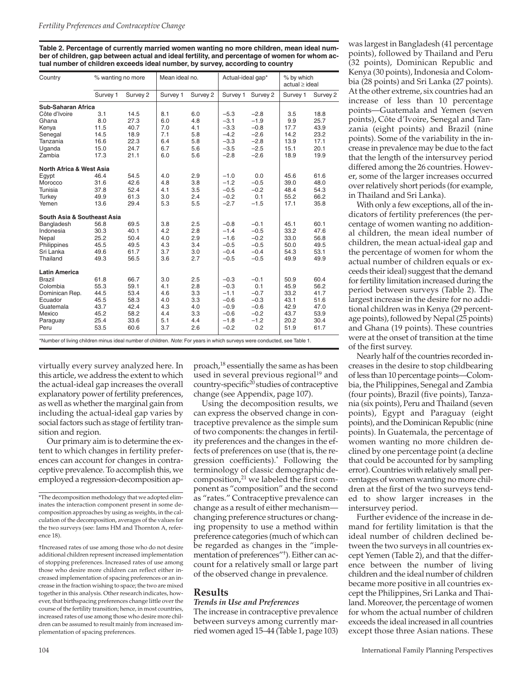**Table 2. Percentage of currently married women wanting no more children, mean ideal number of children, gap between actual and ideal fertility, and percentage of women for whom actual number of children exceeds ideal number, by survey, according to country**

| Country                                                                                                                  | % wanting no more |          | Mean ideal no. |          | Actual-ideal gap* |          | % by which<br>$actual \geq ideal$ |          |
|--------------------------------------------------------------------------------------------------------------------------|-------------------|----------|----------------|----------|-------------------|----------|-----------------------------------|----------|
|                                                                                                                          | Survey 1          | Survey 2 | Survey 1       | Survey 2 | Survey 1          | Survey 2 | Survey 1                          | Survey 2 |
| <b>Sub-Saharan Africa</b>                                                                                                |                   |          |                |          |                   |          |                                   |          |
| Côte d'Ivoire                                                                                                            | 3.1               | 14.5     | 8.1            | 6.0      | $-5.3$            | $-2.8$   | 3.5                               | 18.8     |
| Ghana                                                                                                                    | 8.0               | 27.3     | 6.0            | 4.8      | $-3.1$            | $-1.9$   | 9.9                               | 25.7     |
| Kenya                                                                                                                    | 11.5              | 40.7     | 7.0            | 4.1      | $-3.3$            | $-0.8$   | 17.7                              | 43.9     |
| Senegal                                                                                                                  | 14.5              | 18.9     | 7.1            | 5.8      | $-4.2$            | $-2.6$   | 14.2                              | 23.2     |
| Tanzania                                                                                                                 | 16.6              | 22.3     | 6.4            | 5.8      | $-3.3$            | $-2.8$   | 13.9                              | 17.1     |
| Uganda                                                                                                                   | 15.0              | 24.7     | 6.7            | 5.6      | $-3.5$            | $-2.5$   | 15.1                              | 20.1     |
| Zambia                                                                                                                   | 17.3              | 21.1     | 6.0            | 5.6      | $-2.8$            | $-2.6$   | 18.9                              | 19.9     |
| <b>North Africa &amp; West Asia</b>                                                                                      |                   |          |                |          |                   |          |                                   |          |
| Egypt                                                                                                                    | 46.4              | 54.5     | 4.0            | 2.9      | $-1.0$            | 0.0      | 45.6                              | 61.6     |
| Morocco                                                                                                                  | 31.6              | 42.6     | 4.8            | 3.8      | $-1.2$            | $-0.5$   | 39.0                              | 48.0     |
| Tunisia                                                                                                                  | 37.8              | 52.4     | 4.1            | 3.5      | $-0.5$            | $-0.2$   | 48.4                              | 54.3     |
| Turkey                                                                                                                   | 49.9              | 61.3     | 3.0            | 2.4      | $-0.2$            | 0.1      | 55.2                              | 66.2     |
| Yemen                                                                                                                    | 13.6              | 29.4     | 5.3            | 5.5      | $-2.7$            | $-1.5$   | 17.1                              | 35.8     |
| South Asia & Southeast Asia                                                                                              |                   |          |                |          |                   |          |                                   |          |
| Bangladesh                                                                                                               | 56.8              | 69.5     | 3.8            | 2.5      | $-0.8$            | $-0.1$   | 45.1                              | 60.1     |
| Indonesia                                                                                                                | 30.3              | 40.1     | 4.2            | 2.8      | $-1.4$            | $-0.5$   | 33.2                              | 47.6     |
| Nepal                                                                                                                    | 25.2              | 50.4     | 4.0            | 2.9      | $-1.6$            | $-0.2$   | 33.0                              | 56.8     |
| Philippines                                                                                                              | 45.5              | 49.5     | 4.3            | 3.4      | $-0.5$            | $-0.5$   | 50.0                              | 49.5     |
| Sri Lanka                                                                                                                | 49.6              | 61.7     | 3.7            | 3.0      | $-0.4$            | $-0.4$   | 54.3                              | 53.1     |
| Thailand                                                                                                                 | 49.3              | 56.5     | 3.6            | 2.7      | $-0.5$            | $-0.5$   | 49.9                              | 49.9     |
| <b>Latin America</b>                                                                                                     |                   |          |                |          |                   |          |                                   |          |
| Brazil                                                                                                                   | 61.8              | 66.7     | 3.0            | 2.5      | $-0.3$            | $-0.1$   | 50.9                              | 60.4     |
| Colombia                                                                                                                 | 55.3              | 59.1     | 4.1            | 2.8      | $-0.3$            | 0.1      | 45.9                              | 56.2     |
| Dominican Rep.                                                                                                           | 44.5              | 53.4     | 4.6            | 3.3      | $-1.1$            | $-0.7$   | 33.2                              | 41.7     |
| Ecuador                                                                                                                  | 45.5              | 58.3     | 4.0            | 3.3      | $-0.6$            | $-0.3$   | 43.1                              | 51.6     |
| Guatemala                                                                                                                | 43.7              | 42.4     | 4.3            | 4.0      | $-0.9$            | $-0.6$   | 42.9                              | 47.0     |
| Mexico                                                                                                                   | 45.2              | 58.2     | 4.4            | 3.3      | $-0.6$            | $-0.2$   | 43.7                              | 53.9     |
| Paraguay                                                                                                                 | 25.4              | 33.6     | 5.1            | 4.4      | $-1.8$            | $-1.2$   | 20.2                              | 30.4     |
| Peru                                                                                                                     | 53.5              | 60.6     | 3.7            | 2.6      | $-0.2$            | 0.2      | 51.9                              | 61.7     |
| *Number of living children minus ideal number of children. Note: For years in which surveys were conducted, see Table 1. |                   |          |                |          |                   |          |                                   |          |

virtually every survey analyzed here. In this article, we address the extent to which the actual-ideal gap increases the overall explanatory power of fertility preferences, as well as whether the marginal gain from including the actual-ideal gap varies by social factors such as stage of fertility transition and region.

Our primary aim is to determine the extent to which changes in fertility preferences can account for changes in contraceptive prevalence. To accomplish this, we employed a regression-decomposition ap-

†Increased rates of use among those who do not desire additional children represent increased implementation of stopping preferences. Increased rates of use among those who desire more children can reflect either increased implementation of spacing preferences or an increase in the fraction wishing to space; the two are mixed together in this analysis. Other research indicates, however, that birthspacing preferences change little over the course of the fertility transition; hence, in most countries, increased rates of use among those who desire more children can be assumed to result mainly from increased implementation of spacing preferences.

proach,<sup>18</sup> essentially the same as has been used in several previous regional<sup>19</sup> and country-specific<sup>20</sup> studies of contraceptive change (see Appendix, page 107).

Using the decomposition results, we can express the observed change in contraceptive prevalence as the simple sum of two components: the changes in fertility preferences and the changes in the effects of preferences on use (that is, the regression coefficients).\* Following the terminology of classic demographic decomposition, $^{21}$  we labeled the first component as "composition" and the second as "rates." Contraceptive prevalence can change as a result of either mechanism changing preference structures or changing propensity to use a method within preference categories (much of which can be regarded as changes in the "implementation of preferences"<sup>+</sup>). Either can account for a relatively small or large part of the observed change in prevalence.

# **Results**

## *Trends in Use and Preferences*

The increase in contraceptive prevalence between surveys among currently married women aged 15–44 (Table 1, page 103)

was largest in Bangladesh (41 percentage points), followed by Thailand and Peru (32 points), Dominican Republic and Kenya (30 points), Indonesia and Colombia (28 points) and Sri Lanka (27 points). At the other extreme, six countries had an increase of less than 10 percentage points—Guatemala and Yemen (seven points), Côte d'Ivoire, Senegal and Tanzania (eight points) and Brazil (nine points). Some of the variability in the increase in prevalence may be due to the fact that the length of the intersurvey period differed among the 26 countries. However, some of the larger increases occurred over relatively short periods (for example, in Thailand and Sri Lanka).

With only a few exceptions, all of the indicators of fertility preferences (the percentage of women wanting no additional children, the mean ideal number of children, the mean actual-ideal gap and the percentage of women for whom the actual number of children equals or exceeds their ideal) suggest that the demand for fertility limitation increased during the period between surveys (Table 2). The largest increase in the desire for no additional children was in Kenya (29 percentage points), followed by Nepal (25 points) and Ghana (19 points). These countries were at the onset of transition at the time of the first survey.

Nearly half of the countries recorded increases in the desire to stop childbearing of less than 10 percentage points—Colombia, the Philippines, Senegal and Zambia (four points), Brazil (five points), Tanzania (six points), Peru and Thailand (seven points), Egypt and Paraguay (eight points), and the Dominican Republic (nine points). In Guatemala, the percentage of women wanting no more children declined by one percentage point (a decline that could be accounted for by sampling error). Countries with relatively small percentages of women wanting no more children at the first of the two surveys tended to show larger increases in the intersurvey period.

Further evidence of the increase in demand for fertility limitation is that the ideal number of children declined between the two surveys in all countries except Yemen (Table 2), and that the difference between the number of living children and the ideal number of children became more positive in all countries except the Philippines, Sri Lanka and Thailand. Moreover, the percentage of women for whom the actual number of children exceeds the ideal increased in all countries except those three Asian nations. These

<sup>\*</sup>The decomposition methodology that we adopted eliminates the interaction component present in some decomposition approaches by using as weights, in the calculation of the decomposition, averages of the values for the two surveys (see: Iams HM and Thornton A, reference 18).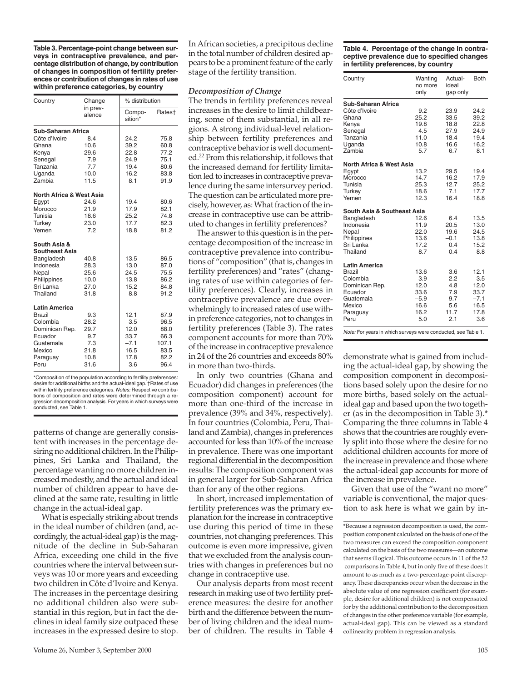**Table 3. Percentage-point change between surveys in contraceptive prevalence, and percentage distribution of change, by contribution of changes in composition of fertility preferences or contribution of changes in rates of use within preference categories, by country**

| Country                             | Change             | % distribution    |        |  |  |
|-------------------------------------|--------------------|-------------------|--------|--|--|
|                                     | in prev-<br>alence | Compo-<br>sition* | Rates† |  |  |
| Sub-Saharan Africa                  |                    |                   |        |  |  |
| Côte d'Ivoire                       | 8.4                | 24.2              | 75.8   |  |  |
| Ghana                               | 10.6               | 39.2              | 60.8   |  |  |
| Kenya                               | 29.6               | 22.8              | 77.2   |  |  |
| Senegal                             | 7.9                | 24.9              | 75.1   |  |  |
| Tanzania                            | 7.7                | 19.4              | 80.6   |  |  |
| Uganda                              | 10.0               | 16.2              | 83.8   |  |  |
| Zambia                              | 11.5               | 8.1               | 91.9   |  |  |
| <b>North Africa &amp; West Asia</b> |                    |                   |        |  |  |
| Egypt                               | 24.6               | 19.4              | 80.6   |  |  |
| Morocco                             | 21.9               | 17.9              | 82.1   |  |  |
| Tunisia                             | 18.6               | 25.2              | 74.8   |  |  |
| Turkey                              | 23.0               | 17.7              | 82.3   |  |  |
| Yemen                               | 7.2                | 18.8              | 81.2   |  |  |
| South Asia &                        |                    |                   |        |  |  |
| <b>Southeast Asia</b>               |                    |                   |        |  |  |
| Bangladesh                          | 40.8               | 13.5              | 86.5   |  |  |
| Indonesia                           | 28.3               | 13.0              | 87.0   |  |  |
| Nepal                               | 25.6               | 24.5              | 75.5   |  |  |
| Philippines                         | 10.0               | 13.8              | 86.2   |  |  |
| Sri Lanka                           | 27.0               | 15.2              | 84.8   |  |  |
| Thailand                            | 31.8               | 8.8               | 91.2   |  |  |
| <b>Latin America</b>                |                    |                   |        |  |  |
| Brazil                              | 9.3                | 12.1              | 87.9   |  |  |
| Colombia                            | 28.2               | 3.5               | 96.5   |  |  |
| Dominican Rep.                      | 29.7               | 12.0              | 88.0   |  |  |
| Ecuador                             | 9.7                | 33.7              | 66.3   |  |  |
| Guatemala                           | 7.3                | $-7.1$            | 107.1  |  |  |
| Mexico                              | 21.8               | 16.5              | 83.5   |  |  |
| Paraguay                            | 10.8               | 17.8              | 82.2   |  |  |
| Peru                                | 31.6               | 3.6               | 96.4   |  |  |

\*Composition of the population according to fertility preferences: desire for additional births and the actual-ideal gap. †Rates of use within fertility preference categories. Notes: Respective contributions of composition and rates were determined through a regression decomposition analysis. For years in which surveys were conducted, see Table 1.

patterns of change are generally consistent with increases in the percentage desiring no additional children. In the Philippines, Sri Lanka and Thailand, the percentage wanting no more children increased modestly, and the actual and ideal number of children appear to have declined at the same rate, resulting in little change in the actual-ideal gap.

What is especially striking about trends in the ideal number of children (and, accordingly, the actual-ideal gap) is the magnitude of the decline in Sub-Saharan Africa, exceeding one child in the five countries where the interval between surveys was 10 or more years and exceeding two children in Côte d'Ivoire and Kenya. The increases in the percentage desiring no additional children also were substantial in this region, but in fact the declines in ideal family size outpaced these increases in the expressed desire to stop.

In African societies, a precipitous decline in the total number of children desired appears to be a prominent feature of the early stage of the fertility transition.

#### *Decomposition of Change*

The trends in fertility preferences reveal increases in the desire to limit childbearing, some of them substantial, in all regions. A strong individual-level relationship between fertility preferences and contraceptive behavior is well documented.22 From this relationship, it follows that the increased demand for fertility limitation led to increases in contraceptive prevalence during the same intersurvey period. The question can be articulated more precisely, however, as: What fraction of the increase in contraceptive use can be attributed to changes in fertility preferences?

The answer to this question is in the percentage decomposition of the increase in contraceptive prevalence into contributions of "composition" (that is, changes in fertility preferences) and "rates" (changing rates of use within categories of fertility preferences). Clearly, increases in contraceptive prevalence are due overwhelmingly to increased rates of use within preference categories, not to changes in fertility preferences (Table 3). The rates component accounts for more than 70% of the increase in contraceptive prevalence in 24 of the 26 countries and exceeds 80% in more than two-thirds.

In only two countries (Ghana and Ecuador) did changes in preferences (the composition component) account for more than one-third of the increase in prevalence (39% and 34%, respectively). In four countries (Colombia, Peru, Thailand and Zambia), changes in preferences accounted for less than 10% of the increase in prevalence. There was one important regional differential in the decomposition results: The composition component was in general larger for Sub-Saharan Africa than for any of the other regions.

In short, increased implementation of fertility preferences was the primary explanation for the increase in contraceptive use during this period of time in these countries, not changing preferences. This outcome is even more impressive, given that we excluded from the analysis countries with changes in preferences but no change in contraceptive use.

Our analysis departs from most recent research in making use of two fertility preference measures: the desire for another birth and the difference between the number of living children and the ideal number of children. The results in Table 4

**Table 4. Percentage of the change in contraceptive prevalence due to specified changes in fertility preferences, by country**

| Country                             | Wanting | Actual-  | <b>Both</b> |  |  |  |  |
|-------------------------------------|---------|----------|-------------|--|--|--|--|
|                                     | no more | ideal    |             |  |  |  |  |
|                                     | only    | gap only |             |  |  |  |  |
| Sub-Saharan Africa                  |         |          |             |  |  |  |  |
| Côte d'Ivoire                       | 9.2     | 23.9     | 24.2        |  |  |  |  |
| Ghana                               | 25.2    | 33.5     | 39.2        |  |  |  |  |
| Kenya                               | 19.8    | 18.8     | 22.8        |  |  |  |  |
| Senegal                             | 4.5     | 27.9     | 24.9        |  |  |  |  |
| Tanzania                            | 11.0    | 18.4     | 19.4        |  |  |  |  |
| Uganda                              | 10.8    | 16.6     | 16.2        |  |  |  |  |
| Zambia                              | 5.7     | 6.7      | 8.1         |  |  |  |  |
| <b>North Africa &amp; West Asia</b> |         |          |             |  |  |  |  |
| Egypt                               | 13.2    | 29.5     | 19.4        |  |  |  |  |
| Morocco                             | 14.7    | 16.2     | 17.9        |  |  |  |  |
| Tunisia                             | 25.3    | 12.7     | 25.2        |  |  |  |  |
| Turkey                              | 18.6    | 7.1      | 17.7        |  |  |  |  |
| Yemen                               | 12.3    | 16.4     | 18.8        |  |  |  |  |
| South Asia & Southeast Asia         |         |          |             |  |  |  |  |
| Bangladesh                          | 12.6    | 6.4      | 13.5        |  |  |  |  |
| Indonesia                           | 11.9    | 20.5     | 13.0        |  |  |  |  |
| Nepal                               | 22.0    | 19.6     | 24.5        |  |  |  |  |
| Philippines                         | 13.6    | $-0.1$   | 13.8        |  |  |  |  |
| Sri Lanka                           | 17.2    | 0.4      | 15.2        |  |  |  |  |
| Thailand                            | 8.7     | 0.4      | 8.8         |  |  |  |  |
| <b>Latin America</b>                |         |          |             |  |  |  |  |
| <b>Brazil</b>                       | 13.6    | 3.6      | 12.1        |  |  |  |  |
| Colombia                            | 3.9     | 2.2      | 3.5         |  |  |  |  |
| Dominican Rep.                      | 12.0    | 4.8      | 12.0        |  |  |  |  |
| Ecuador                             | 33.6    | 7.9      | 33.7        |  |  |  |  |
| Guatemala                           | $-5.9$  | 9.7      | $-7.1$      |  |  |  |  |
| Mexico                              | 16.6    | 5.6      | 16.5        |  |  |  |  |
| Paraguay                            | 16.2    | 11.7     | 17.8        |  |  |  |  |
| Peru                                | 5.0     | 2.1      | 3.6         |  |  |  |  |

Note: For years in which surveys were conducted, see Table 1.

demonstrate what is gained from including the actual-ideal gap, by showing the composition component in decompositions based solely upon the desire for no more births, based solely on the actualideal gap and based upon the two together (as in the decomposition in Table 3).\* Comparing the three columns in Table 4 shows that the countries are roughly evenly split into those where the desire for no additional children accounts for more of the increase in prevalence and those where the actual-ideal gap accounts for more of the increase in prevalence.

Given that use of the "want no more" variable is conventional, the major question to ask here is what we gain by in-

<sup>\*</sup>Because a regression decomposition is used, the composition component calculated on the basis of one of the two measures can exceed the composition component calculated on the basis of the two measures—an outcome that seems illogical. This outcome occurs in 11 of the 52 comparisons in Table 4, but in only five of these does it amount to as much as a two-percentage-point discrepancy. These discrepancies occur when the decrease in the absolute value of one regression coefficient (for example, desire for additional children) is not compensated for by the additional contribution to the decomposition of changes in the other preference variable (for example, actual-ideal gap). This can be viewed as a standard collinearity problem in regression analysis.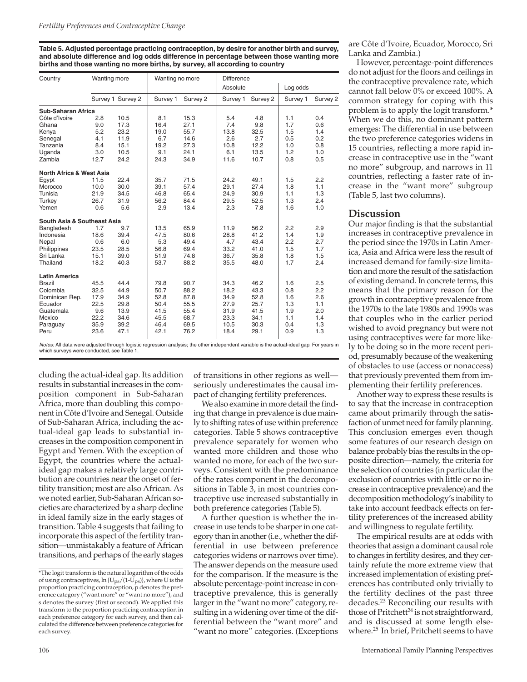**Table 5. Adjusted percentage practicing contraception, by desire for another birth and survey, and absolute difference and log odds difference in percentage between those wanting more births and those wanting no more births, by survey, all according to country** 

| Country                             | Wanting more |                   | Wanting no more |          | Difference |          |          |          |  |
|-------------------------------------|--------------|-------------------|-----------------|----------|------------|----------|----------|----------|--|
|                                     |              |                   |                 |          | Absolute   |          | Log odds |          |  |
|                                     |              | Survey 1 Survey 2 | Survey 1        | Survey 2 | Survey 1   | Survey 2 | Survey 1 | Survey 2 |  |
| Sub-Saharan Africa                  |              |                   |                 |          |            |          |          |          |  |
| Côte d'Ivoire                       | 2.8          | 10.5              | 8.1             | 15.3     | 5.4        | 4.8      | 1.1      | 0.4      |  |
| Ghana                               | 9.0          | 17.3              | 16.4            | 27.1     | 7.4        | 9.8      | 1.7      | 0.6      |  |
| Kenya                               | 5.2          | 23.2              | 19.0            | 55.7     | 13.8       | 32.5     | 1.5      | 1.4      |  |
| Senegal                             | 4.1          | 11.9              | 6.7             | 14.6     | 2.6        | 2.7      | 0.5      | 0.2      |  |
| Tanzania                            | 8.4          | 15.1              | 19.2            | 27.3     | 10.8       | 12.2     | 1.0      | 0.8      |  |
| Uganda                              | 3.0          | 10.5              | 9.1             | 24.1     | 6.1        | 13.5     | 1.2      | 1.0      |  |
| Zambia                              | 12.7         | 24.2              | 24.3            | 34.9     | 11.6       | 10.7     | 0.8      | 0.5      |  |
| <b>North Africa &amp; West Asia</b> |              |                   |                 |          |            |          |          |          |  |
| Egypt                               | 11.5         | 22.4              | 35.7            | 71.5     | 24.2       | 49.1     | 1.5      | 2.2      |  |
| Morocco                             | 10.0         | 30.0              | 39.1            | 57.4     | 29.1       | 27.4     | 1.8      | 1.1      |  |
| Tunisia                             | 21.9         | 34.5              | 46.8            | 65.4     | 24.9       | 30.9     | 1.1      | 1.3      |  |
| Turkey                              | 26.7         | 31.9              | 56.2            | 84.4     | 29.5       | 52.5     | 1.3      | 2.4      |  |
| Yemen                               | 0.6          | 5.6               | 2.9             | 13.4     | 2.3        | 7.8      | 1.6      | 1.0      |  |
| South Asia & Southeast Asia         |              |                   |                 |          |            |          |          |          |  |
| Bangladesh                          | 1.7          | 9.7               | 13.5            | 65.9     | 11.9       | 56.2     | 2.2      | 2.9      |  |
| Indonesia                           | 18.6         | 39.4              | 47.5            | 80.6     | 28.8       | 41.2     | 1.4      | 1.9      |  |
| Nepal                               | 0.6          | 6.0               | 5.3             | 49.4     | 4.7        | 43.4     | 2.2      | 2.7      |  |
| Philippines                         | 23.5         | 28.5              | 56.8            | 69.4     | 33.2       | 41.0     | 1.5      | 1.7      |  |
| Sri Lanka                           | 15.1         | 39.0              | 51.9            | 74.8     | 36.7       | 35.8     | 1.8      | 1.5      |  |
| Thailand                            | 18.2         | 40.3              | 53.7            | 88.2     | 35.5       | 48.0     | 1.7      | 2.4      |  |
| <b>Latin America</b>                |              |                   |                 |          |            |          |          |          |  |
| Brazil                              | 45.5         | 44.4              | 79.8            | 90.7     | 34.3       | 46.2     | 1.6      | 2.5      |  |
| Colombia                            | 32.5         | 44.9              | 50.7            | 88.2     | 18.2       | 43.3     | 0.8      | 2.2      |  |
| Dominican Rep.                      | 17.9         | 34.9              | 52.8            | 87.8     | 34.9       | 52.8     | 1.6      | 2.6      |  |
| Ecuador                             | 22.5         | 29.8              | 50.4            | 55.5     | 27.9       | 25.7     | 1.3      | 1.1      |  |
| Guatemala                           | 9.6          | 13.9              | 41.5            | 55.4     | 31.9       | 41.5     | 1.9      | 2.0      |  |
| Mexico                              | 22.2         | 34.6              | 45.5            | 68.7     | 23.3       | 34.1     | 1.1      | 1.4      |  |
| Paraguay                            | 35.9         | 39.2              | 46.4            | 69.5     | 10.5       | 30.3     | 0.4      | 1.3      |  |
| Peru                                | 23.6         | 47.1              | 42.1            | 76.2     | 18.4       | 29.1     | 0.9      | 1.3      |  |
|                                     |              |                   |                 |          |            |          |          |          |  |

Notes: All data were adjusted through logistic regression analysis; the other independent variable is the actual-ideal gap. For years in which surveys were conducted, see Table 1.

cluding the actual-ideal gap. Its addition results in substantial increases in the composition component in Sub-Saharan Africa, more than doubling this component in Côte d'Ivoire and Senegal. Outside of Sub-Saharan Africa, including the actual-ideal gap leads to substantial increases in the composition component in Egypt and Yemen. With the exception of Egypt, the countries where the actualideal gap makes a relatively large contribution are countries near the onset of fertility transition; most are also African. As we noted earlier, Sub-Saharan African societies are characterized by a sharp decline in ideal family size in the early stages of transition. Table 4 suggests that failing to incorporate this aspect of the fertility transition—unmistakably a feature of African transitions, and perhaps of the early stages

of transitions in other regions as well seriously underestimates the causal impact of changing fertility preferences.

We also examine in more detail the finding that change in prevalence is due mainly to shifting rates of use within preference categories. Table 5 shows contraceptive prevalence separately for women who wanted more children and those who wanted no more, for each of the two surveys. Consistent with the predominance of the rates component in the decompositions in Table 3, in most countries contraceptive use increased substantially in both preference categories (Table 5).

A further question is whether the increase in use tends to be sharper in one category than in another (i.e., whether the differential in use between preference categories widens or narrows over time). The answer depends on the measure used for the comparison. If the measure is the absolute percentage-point increase in contraceptive prevalence, this is generally larger in the "want no more" category, resulting in a widening over time of the differential between the "want more" and "want no more" categories. (Exceptions

are Côte d'Ivoire, Ecuador, Morocco, Sri Lanka and Zambia.)

However, percentage-point differences do not adjust for the floors and ceilings in the contraceptive prevalence rate, which cannot fall below 0% or exceed 100%. A common strategy for coping with this problem is to apply the logit transform.\* When we do this, no dominant pattern emerges: The differential in use between the two preference categories widens in 15 countries, reflecting a more rapid increase in contraceptive use in the "want no more" subgroup, and narrows in 11 countries, reflecting a faster rate of increase in the "want more" subgroup (Table 5, last two columns).

#### **Discussion**

Our major finding is that the substantial increases in contraceptive prevalence in the period since the 1970s in Latin America, Asia and Africa were less the result of increased demand for family-size limitation and more the result of the satisfaction of existing demand. In concrete terms, this means that the primary reason for the growth in contraceptive prevalence from the 1970s to the late 1980s and 1990s was that couples who in the earlier period wished to avoid pregnancy but were not using contraceptives were far more likely to be doing so in the more recent period, presumably because of the weakening of obstacles to use (access or nonaccess) that previously prevented them from implementing their fertility preferences.

Another way to express these results is to say that the increase in contraception came about primarily through the satisfaction of unmet need for family planning. This conclusion emerges even though some features of our research design on balance probably bias the results in the opposite direction—namely, the criteria for the selection of countries (in particular the exclusion of countries with little or no increase in contraceptive prevalence) and the decomposition methodology's inability to take into account feedback effects on fertility preferences of the increased ability and willingness to regulate fertility.

The empirical results are at odds with theories that assign a dominant causal role to changes in fertility desires, and they certainly refute the more extreme view that increased implementation of existing preferences has contributed only trivially to the fertility declines of the past three decades.23 Reconciling our results with those of Pritchett<sup>24</sup> is not straightforward, and is discussed at some length elsewhere.25 In brief, Pritchett seems to have

<sup>\*</sup>The logit transform is the natural logarithm of the odds of using contraceptives, ln  $\{U_{ps}/(1-U_{ps})\}$ , where U is the proportion practicing contraception, p denotes the preference category ("want more" or "want no more"), and s denotes the survey (first or second). We applied this transform to the proportion practicing contraception in each preference category for each survey, and then calculated the difference between preference categories for each survey.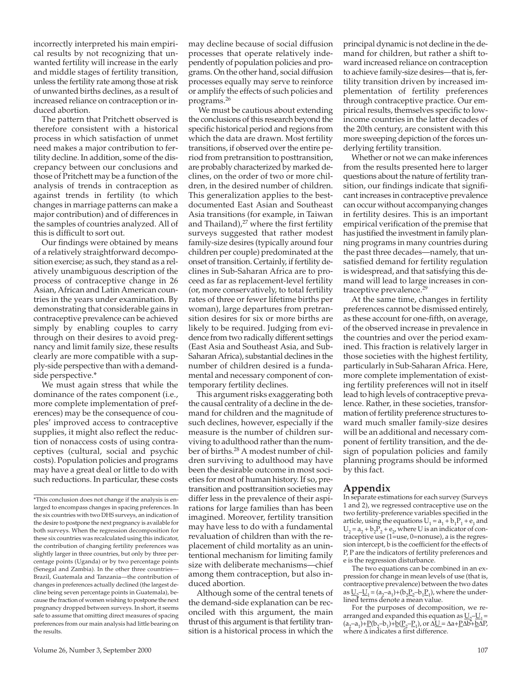incorrectly interpreted his main empirical results by not recognizing that unwanted fertility will increase in the early and middle stages of fertility transition, unless the fertility rate among those at risk of unwanted births declines, as a result of increased reliance on contraception or induced abortion.

The pattern that Pritchett observed is therefore consistent with a historical process in which satisfaction of unmet need makes a major contribution to fertility decline. In addition, some of the discrepancy between our conclusions and those of Pritchett may be a function of the analysis of trends in contraception as against trends in fertility (to which changes in marriage patterns can make a major contribution) and of differences in the samples of countries analyzed. All of this is difficult to sort out.

Our findings were obtained by means of a relatively straightforward decomposition exercise; as such, they stand as a relatively unambiguous description of the process of contraceptive change in 26 Asian, African and Latin American countries in the years under examination. By demonstrating that considerable gains in contraceptive prevalence can be achieved simply by enabling couples to carry through on their desires to avoid pregnancy and limit family size, these results clearly are more compatible with a supply-side perspective than with a demandside perspective.\*

We must again stress that while the dominance of the rates component (i.e., more complete implementation of preferences) may be the consequence of couples' improved access to contraceptive supplies, it might also reflect the reduction of nonaccess costs of using contraceptives (cultural, social and psychic costs). Population policies and programs may have a great deal or little to do with such reductions. In particular, these costs

Volume 26, Number 3, September 2000 107 and the separate separate separate separate separate separate separate separate separate separate separate separate separate separate separate separate separate separate separate sep

may decline because of social diffusion processes that operate relatively independently of population policies and programs. On the other hand, social diffusion processes equally may serve to reinforce or amplify the effects of such policies and programs.26

We must be cautious about extending the conclusions of this research beyond the specific historical period and regions from which the data are drawn. Most fertility transitions, if observed over the entire period from pretransition to posttransition, are probably characterized by marked declines, on the order of two or more children, in the desired number of children. This generalization applies to the bestdocumented East Asian and Southeast Asia transitions (for example, in Taiwan and Thailand),<sup>27</sup> where the first fertility surveys suggested that rather modest family-size desires (typically around four children per couple) predominated at the onset of transition. Certainly, if fertility declines in Sub-Saharan Africa are to proceed as far as replacement-level fertility (or, more conservatively, to total fertility rates of three or fewer lifetime births per woman), large departures from pretransition desires for six or more births are likely to be required. Judging from evidence from two radically different settings (East Asia and Southeast Asia, and Sub-Saharan Africa), substantial declines in the number of children desired is a fundamental and necessary component of contemporary fertility declines.

This argument risks exaggerating both the causal centrality of a decline in the demand for children and the magnitude of such declines, however, especially if the measure is the number of children surviving to adulthood rather than the number of births.28 A modest number of children surviving to adulthood may have been the desirable outcome in most societies for most of human history. If so, pretransition and posttransition societies may differ less in the prevalence of their aspirations for large families than has been imagined. Moreover, fertility transition may have less to do with a fundamental revaluation of children than with the replacement of child mortality as an unintentional mechanism for limiting family size with deliberate mechanisms—chief among them contraception, but also induced abortion.

Although some of the central tenets of the demand-side explanation can be reconciled with this argument, the main thrust of this argument is that fertility transition is a historical process in which the

principal dynamic is not decline in the demand for children, but rather a shift toward increased reliance on contraception to achieve family-size desires—that is, fertility transition driven by increased implementation of fertility preferences through contraceptive practice. Our empirical results, themselves specific to lowincome countries in the latter decades of the 20th century, are consistent with this more sweeping depiction of the forces underlying fertility transition.

Whether or not we can make inferences from the results presented here to larger questions about the nature of fertility transition, our findings indicate that significant increases in contraceptive prevalence can occur without accompanying changes in fertility desires. This is an important empirical verification of the premise that has justified the investment in family planning programs in many countries during the past three decades—namely, that unsatisfied demand for fertility regulation is widespread, and that satisfying this demand will lead to large increases in contraceptive prevalence.<sup>29</sup>

At the same time, changes in fertility preferences cannot be dismissed entirely, as these account for one-fifth, on average, of the observed increase in prevalence in the countries and over the period examined. This fraction is relatively larger in those societies with the highest fertility, particularly in Sub-Saharan Africa. Here, more complete implementation of existing fertility preferences will not in itself lead to high levels of contraceptive prevalence. Rather, in these societies, transformation of fertility preference structures toward much smaller family-size desires will be an additional and necessary component of fertility transition, and the design of population policies and family planning programs should be informed by this fact.

## **Appendix**

In separate estimations for each survey (Surveys 1 and 2), we regressed contraceptive use on the two fertility-preference variables specified in the article, using the equations  $U_1 = a_1 + b_1 P_1 + e_1$  and  $U_2 = a_2 + b_2 P_2 + e_2$ , where U is an indicator of contraceptive use (1=use, 0=nonuse), a is the regression intercept, b is the coefficient for the effects of P, P are the indicators of fertility preferences and e is the regression disturbance.

The two equations can be combined in an expression for change in mean levels of use (that is, contraceptive prevalence) between the two dates as  $\underline{U}_2$  –  $\underline{U}_1$  = (a<sub>2</sub>-a<sub>1</sub>)+(b<sub>2</sub>P<sub>2</sub>-b<sub>1</sub>P<sub>1</sub>), where the underlined terms denote a mean value.

For the purposes of decomposition, we rearranged and expanded this equation as  $\underline{U}_2 - \underline{U}_1 =$  $(a_2-a_1)+\underline{P}(b_2-b_1)+\underline{b}(P_2-P_1)$ , or  $\Delta \underline{U} = \Delta a + \underline{P}\Delta b + \underline{b}\Delta P$ , where Δ indicates a first difference.

<sup>\*</sup>This conclusion does not change if the analysis is enlarged to encompass changes in spacing preferences. In the six countries with two DHS surveys, an indication of the desire to postpone the next pregnancy is available for both surveys. When the regression decomposition for these six countries was recalculated using this indicator, the contribution of changing fertility preferences was slightly larger in three countries, but only by three percentage points (Uganda) or by two percentage points (Senegal and Zambia). In the other three countries— Brazil, Guatemala and Tanzania—the contribution of changes in preferences actually declined (the largest decline being seven percentage points in Guatemala), because the fraction of women wishing to postpone the next pregnancy dropped between surveys. In short, it seems safe to assume that omitting direct measures of spacing preferences from our main analysis had little bearing on the results.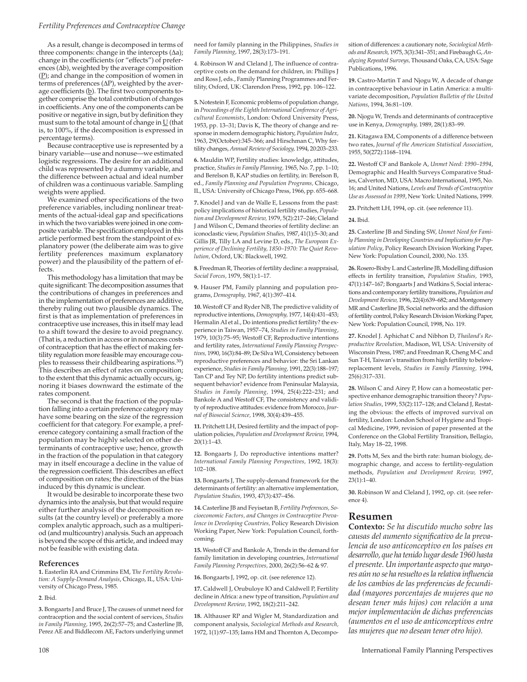#### *Fertility Preferences and Contraceptive Change*

As a result, change is decomposed in terms of three components: change in the intercepts (Δa); change in the coefficients (or "effects") of preferences (Δb), weighted by the average composition  $(\underline{P})$ ; and change in the composition of women in terms of preferences (ΔP), weighted by the average coefficients (b). The first two components together comprise the total contribution of changes in coefficients. Any one of the components can be positive or negative in sign, but by definition they must sum to the total amount of change in  $\underline{U}$  (that is, to 100%, if the decomposition is expressed in percentage terms).

Because contraceptive use is represented by a binary variable—use and nonuse—we estimated logistic regressions. The desire for an additional child was represented by a dummy variable, and the difference between actual and ideal number of children was a continuous variable. Sampling weights were applied.

We examined other specifications of the two preference variables, including nonlinear treatments of the actual-ideal gap and specifications in which the two variables were joined in one composite variable. The specification employed in this article performed best from the standpoint of explanatory power (the deliberate aim was to give fertility preferences maximum explanatory power) and the plausibility of the pattern of effects.

This methodology has a limitation that may be quite significant: The decomposition assumes that the contributions of changes in preferences and in the implementation of preferences are additive, thereby ruling out two plausible dynamics. The first is that as implementation of preferences in contraceptive use increases, this in itself may lead to a shift toward the desire to avoid pregnancy. (That is, a reduction in access or in nonaccess costs of contraception that has the effect of making fertility regulation more feasible may encourage couples to reassess their childbearing aspirations.30) This describes an effect of rates on composition; to the extent that this dynamic actually occurs, ignoring it biases downward the estimate of the rates component.

The second is that the fraction of the population falling into a certain preference category may have some bearing on the size of the regression coefficient for that category. For example, a preference category containing a small fraction of the population may be highly selected on other determinants of contraceptive use; hence, growth in the fraction of the population in that category may in itself encourage a decline in the value of the regression coefficient. This describes an effect of composition on rates; the direction of the bias induced by this dynamic is unclear.

It would be desirable to incorporate these two dynamics into the analysis, but that would require either further analysis of the decomposition results (at the country level) or preferably a more complex analytic approach, such as a multiperiod (and multicountry) analysis. Such an approach is beyond the scope of this article, and indeed may not be feasible with existing data.

#### **References**

**1.** Easterlin RA and Crimmins EM, T*he Fertility Revolution: A Supply-Demand Analysis*, Chicago, IL, USA: University of Chicago Press, 1985.

**2**. Ibid.

**3.** Bongaarts J and Bruce J, The causes of unmet need for contraception and the social content of services, *Studies in Family Planning,* 1995, 26(2):57–75; and Casterline JB, Perez AE and Biddlecom AE, Factors underlying unmet

need for family planning in the Philippines, *Studies in Family Planning*, 1997, 28(3):173–191.

4. Robinson W and Cleland J, The influence of contraceptive costs on the demand for children, in: Phillips J and Ross J, eds., Family Planning Programmes and Fertility, Oxford, UK: Clarendon Press, 1992, pp. 106–122.

**5.** Notestein F, Economic problems of population change, in *Proceedings of the Eighth International Conference of Agricultural Economists*, London: Oxford University Press, 1953, pp. 13–31; Davis K, The theory of change and response in modern demographic history, *Population Index,* 1963, 29(October):345–366; and Hirschman C, Why fertility changes, *Annual Review of Sociology,* 1994, 20:203–233.

**6.** Mauldin WP, Fertility studies: knowledge, attitudes, practice, *Studies in Family Planning,* 1965, No. 7, pp. 1–10; and Berelson B, KAP studies on fertility, in: Berelson B, ed., *Family Planning and Population Programs,* Chicago, IL, USA: University of Chicago Press, 1966, pp. 655–668.

**7.** Knodel J and van de Walle E, Lessons from the past: policy implications of historical fertility studies, *Population and Development Review,* 1979, 5(2):217–246; Cleland J and Wilson C, Demand theories of fertility decline: an iconoclastic view, *Population Studies,* 1987, 41(1):5–30; and Gillis JR, Tilly LA and Levine D, eds., *The European Experience of Declining Fertility, 1850–1970: The Quiet Revolution,* Oxford, UK: Blackwell, 1992.

**8.** Freedman R, Theories of fertility decline: a reappraisal, *Social Forces,* 1979, 58(1):1–17.

**9.** Hauser PM, Family planning and population programs, *Demography,* 1967, 4(1):397–414.

**10.** Westoff CF and Ryder NB, The predictive validity of reproductive intentions, *Demography,* 1977, 14(4):431–453; Hermalin AI et al., Do intentions predict fertility? the experience in Taiwan, 1957–74, *Studies in Family Planning*, 1979, 10(3):75–95; Westoff CF, Reproductive intentions and fertility rates, *International Family Planning Perspectives,* 1990, 16(3):84–89; De Silva WI, Consistency between reproductive preferences and behavior: the Sri Lankan experience, *Studies in Family Planning,* 1991, 22(3):188–197; Tan CP and Tey NP, Do fertility intentions predict subsequent behavior? evidence from Peninsular Malaysia, *Studies in Family Planning,* 1994, 25(4):222–231; and Bankole A and Westoff CF, The consistency and validity of reproductive attitudes: evidence from Morocco, *Journal of Biosocial Science,* 1998, 30(4):439–455.

**11.** Pritchett LH, Desired fertility and the impact of population policies, *Population and Development Review,* 1994, 20(1):1–43.

**12.** Bongaarts J, Do reproductive intentions matter? *International Family Planning Perspectives,* 1992*,* 18(3): 102–108.

**13.** Bongaarts J, The supply-demand framework for the determinants of fertility: an alternative implementation, *Population Studies,* 1993, 47(3):437–456.

**14.** Casterline JB and Feyisetan B, *Fertility Preferences, Socioeconomic Factors, and Changes in Contraceptive Prevalence in Developing Countries,* Policy Research Division Working Paper, New York: Population Council, forthcoming.

**15.** Westoff CF and Bankole A, Trends in the demand for family limitation in developing countries, *International Family Planning Perspectives,* 2000, 26(2):56–62 & 97.

**16.** Bongaarts J, 1992, op. cit. (see reference 12).

**17.** Caldwell J, Orubuloye IO and Caldwell P, Fertility decline in Africa: a new type of transition, *Population and Development Review,* 1992, 18(2):211–242.

**18.** Althauser RP and Wigler M, Standardization and component analysis, *Sociological Methods and Research,* 1972, 1(1):97–135; Iams HM and Thornton A, Decompo-

sition of differences: a cautionary note, *Sociological Methods and Research,* 1975, 3(3):341–351; and Firebaugh G, *Analyzing Repeated Surveys,* Thousand Oaks, CA, USA: Sage Publications, 1996.

**19.** Castro-Martin T and Njogu W, A decade of change in contraceptive behaviour in Latin America: a multivariate decomposition, *Population Bulletin of the United Nations*, 1994, 36:81–109.

**20.** Njogu W, Trends and determinants of contraceptive use in Kenya, *Demography,* 1989, 28(1):83–99.

**21.** Kitagawa EM, Components of a difference between two rates, *Journal of the American Statistical Association*, 1955, 50(272):1168–1194.

**22.** Westoff CF and Bankole A, *Unmet Need: 1990–1994*, Demographic and Health Surveys Comparative Studies, Calverton, MD, USA: Macro International, 1995, No. 16; and United Nations, *Levels and Trends of Contraceptive Use as Assessed in 1999*, New York: United Nations, 1999.

**23.** Pritchett LH, 1994, op. cit. (see reference 11).

**24.** Ibid.

**25.** Casterline JB and Sinding SW, *Unmet Need for Family Planning in Developing Countries and Implications for Population Policy*, Policy Research Division Working Paper, New York: Population Council, 2000, No. 135.

**26.**Rosero-Bixby L and Casterline JB, Modelling diffusion effects in fertility transition, *Population Studies,* 1993, 47(1):147–167; Bongaarts J and Watkins S, Social interactions and contemporary fertility transitions, *Population and Development Review,* 1996, 22(4):639–682; and Montgomery MR and Casterline JB, Social networks and the diffusion of fertility control, Policy Research Division Working Paper, New York: Population Council, 1998, No. 119.

**27.** Knodel J. Aphichat C and Nibhon D, *Thailand's Reproductive Revolution,* Madison, WI, USA: University of Wisconsin Press, 1987; and Freedman R, Cheng M-C and Sun T-H, Taiwan's transition from high fertility to belowreplacement levels, *Studies in Family Planning,* 1994, 25(6):317–331.

**28.** Wilson C and Airey P, How can a homeostatic perspective enhance demographic transition theory? *Population Studies*, 1999, 53(2):117–128; and Cleland J, Restating the obvious: the effects of improved survival on fertility, London: London School of Hygiene and Tropical Medicine, 1999, revision of paper presented at the Conference on the Global Fertility Transition, Bellagio, Italy, May 18–22, 1998.

**29.** Potts M, Sex and the birth rate: human biology, demographic change, and access to fertility-regulation methods, *Population and Development Review,* 1997, 23(1):1–40.

**30.** Robinson W and Cleland J, 1992, op. cit. (see reference 4).

#### **Resumen**

**Contexto:** *Se ha discutido mucho sobre las causas del aumento significativo de la prevalencia de uso anticonceptivo en los países en desarrollo, que ha tenido lugar desde 1960 hasta el presente. Un importante aspecto que mayores aún no se ha resuelto es la relativa influencia de los cambios de las preferencias de fecundidad (mayores porcentajes de mujeres que no desean tener más hijos) con relación a una mejor implementación de dichas preferencias (aumentos en el uso de anticonceptivos entre las mujeres que no desean tener otro hijo).*